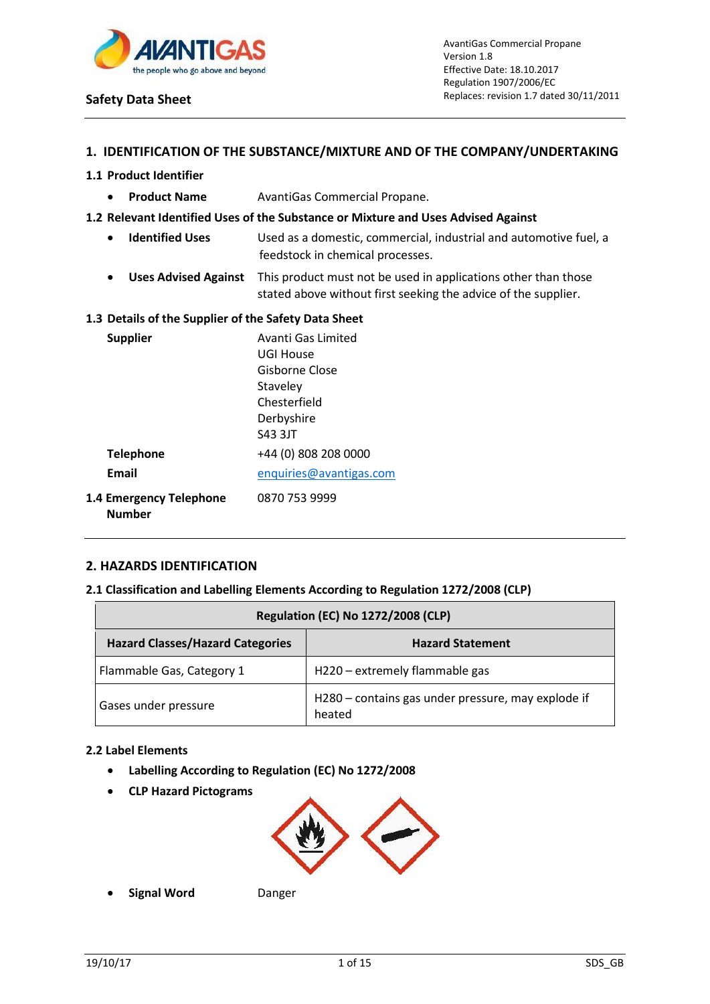

## **1. IDENTIFICATION OF THE SUBSTANCE/MIXTURE AND OF THE COMPANY/UNDERTAKING**

## **1.1 Product Identifier**

**• Product Name** AvantiGas Commercial Propane.

## **1.2 Relevant Identified Uses of the Substance or Mixture and Uses Advised Against**

- **Identified Uses** Used as a domestic, commercial, industrial and automotive fuel, a feedstock in chemical processes.
- **Uses Advised Against** This product must not be used in applications other than those stated above without first seeking the advice of the supplier.

#### **1.3 Details of the Supplier of the Safety Data Sheet**

| <b>Supplier</b>                                 | Avanti Gas Limited      |
|-------------------------------------------------|-------------------------|
|                                                 | UGI House               |
|                                                 | Gisborne Close          |
|                                                 | Staveley                |
|                                                 | Chesterfield            |
|                                                 | Derbyshire              |
|                                                 | S43 3JT                 |
| <b>Telephone</b>                                | +44 (0) 808 208 0000    |
| Email                                           | enquiries@avantigas.com |
| <b>1.4 Emergency Telephone</b><br><b>Number</b> | 0870 753 9999           |

## **2. HAZARDS IDENTIFICATION**

# **2.1 Classification and Labelling Elements According to Regulation 1272/2008 (CLP)**

| <b>Regulation (EC) No 1272/2008 (CLP)</b>                          |                                                              |  |
|--------------------------------------------------------------------|--------------------------------------------------------------|--|
| <b>Hazard Classes/Hazard Categories</b><br><b>Hazard Statement</b> |                                                              |  |
| Flammable Gas, Category 1                                          | H220 – extremely flammable gas                               |  |
| Gases under pressure                                               | H280 - contains gas under pressure, may explode if<br>heated |  |

#### **2.2 Label Elements**

- **Labelling According to Regulation (EC) No 1272/2008**
- **CLP Hazard Pictograms**



**Signal Word** Danger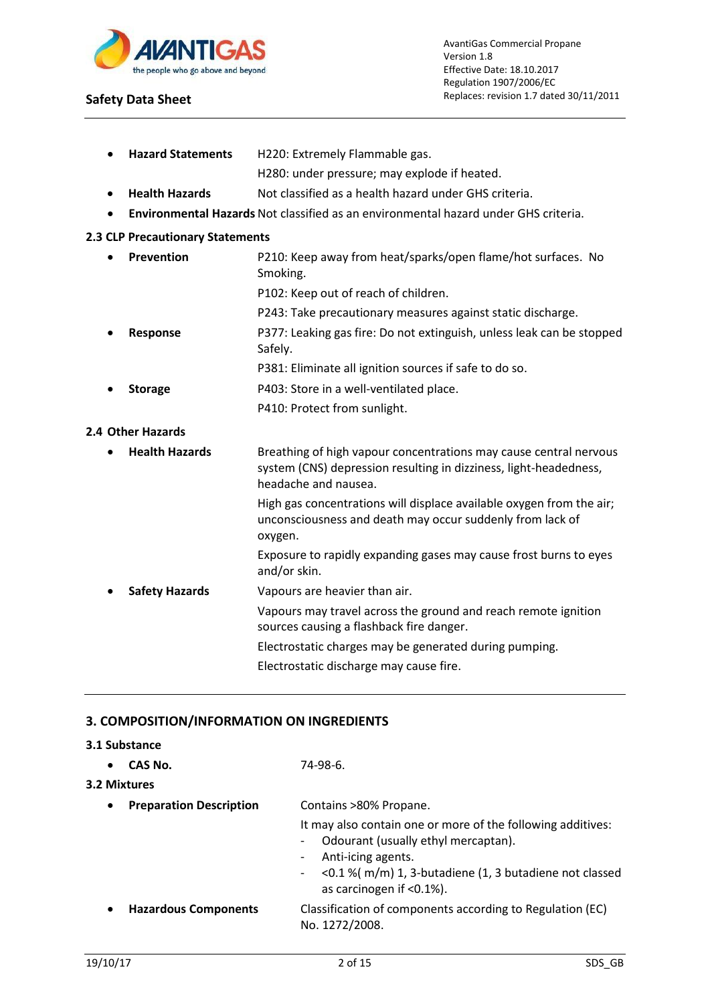

|           |                                  | H280: under pressure; may explode if heated.                                                                                           |
|-----------|----------------------------------|----------------------------------------------------------------------------------------------------------------------------------------|
| $\bullet$ | <b>Health Hazards</b>            | Not classified as a health hazard under GHS criteria.                                                                                  |
|           |                                  | <b>Environmental Hazards</b> Not classified as an environmental hazard under GHS criteria.                                             |
|           | 2.3 CLP Precautionary Statements |                                                                                                                                        |
| $\bullet$ | Prevention                       | P210: Keep away from heat/sparks/open flame/hot surfaces. No<br>Smoking.                                                               |
|           |                                  | P102: Keep out of reach of children.                                                                                                   |
|           |                                  | P243: Take precautionary measures against static discharge.                                                                            |
|           | <b>Response</b>                  | P377: Leaking gas fire: Do not extinguish, unless leak can be stopped<br>Safely.                                                       |
|           |                                  | P381: Eliminate all ignition sources if safe to do so.                                                                                 |
|           | <b>Storage</b>                   | P403: Store in a well-ventilated place.                                                                                                |
|           |                                  | P410: Protect from sunlight.                                                                                                           |
|           | 2.4 Other Hazards                |                                                                                                                                        |
| $\bullet$ | <b>Health Hazards</b>            | Breathing of high vapour concentrations may cause central nervous<br>system (CNS) depression resulting in dizziness, light-headedness, |

headache and nausea.

oxygen.

**Safety Hazards** Vapours are heavier than air.

and/or skin.

High gas concentrations will displace available oxygen from the air; unconsciousness and death may occur suddenly from lack of

Exposure to rapidly expanding gases may cause frost burns to eyes

Vapours may travel across the ground and reach remote ignition

Electrostatic charges may be generated during pumping.

**Hazard Statements** H220: Extremely Flammable gas.

# **3. COMPOSITION/INFORMATION ON INGREDIENTS**

## **3.1 Substance**

| CAS No.<br>$\bullet$<br>3.2 Mixtures        | 74-98-6.                                                                                                                                                                                                                                      |  |
|---------------------------------------------|-----------------------------------------------------------------------------------------------------------------------------------------------------------------------------------------------------------------------------------------------|--|
| <b>Preparation Description</b><br>$\bullet$ | Contains >80% Propane.<br>It may also contain one or more of the following additives:<br>Odourant (usually ethyl mercaptan).<br>Anti-icing agents.<br><0.1 %(m/m) 1, 3-butadiene (1, 3 butadiene not classed<br>-<br>as carcinogen if <0.1%). |  |
| <b>Hazardous Components</b><br>$\bullet$    | Classification of components according to Regulation (EC)<br>No. 1272/2008.                                                                                                                                                                   |  |

sources causing a flashback fire danger.

Electrostatic discharge may cause fire.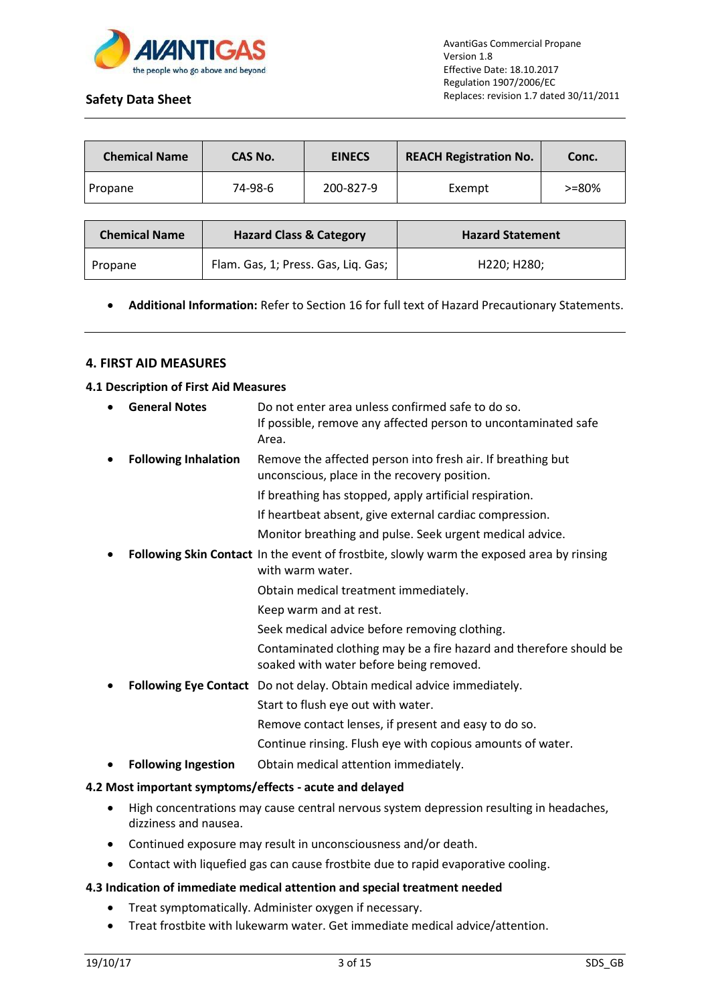

| <b>Chemical Name</b> | CAS No. | <b>EINECS</b> | <b>REACH Registration No.</b> | Conc.      |
|----------------------|---------|---------------|-------------------------------|------------|
| Propane              | 74-98-6 | 200-827-9     | Exempt                        | $> = 80\%$ |

| <b>Chemical Name</b> | <b>Hazard Class &amp; Category</b>  | <b>Hazard Statement</b>               |
|----------------------|-------------------------------------|---------------------------------------|
| Propane              | Flam. Gas, 1; Press. Gas, Liq. Gas; | H <sub>220</sub> : H <sub>280</sub> : |

**Additional Information:** Refer to Section 16 for full text of Hazard Precautionary Statements.

## **4. FIRST AID MEASURES**

#### **4.1 Description of First Aid Measures**

| $\bullet$ | <b>General Notes</b>        | Do not enter area unless confirmed safe to do so.<br>If possible, remove any affected person to uncontaminated safe<br>Area. |
|-----------|-----------------------------|------------------------------------------------------------------------------------------------------------------------------|
| $\bullet$ | <b>Following Inhalation</b> | Remove the affected person into fresh air. If breathing but<br>unconscious, place in the recovery position.                  |
|           |                             | If breathing has stopped, apply artificial respiration.                                                                      |
|           |                             | If heartbeat absent, give external cardiac compression.                                                                      |
|           |                             | Monitor breathing and pulse. Seek urgent medical advice.                                                                     |
| ٠         |                             | Following Skin Contact In the event of frostbite, slowly warm the exposed area by rinsing<br>with warm water.                |
|           |                             | Obtain medical treatment immediately.                                                                                        |
|           |                             | Keep warm and at rest.                                                                                                       |
|           |                             | Seek medical advice before removing clothing.                                                                                |
|           |                             | Contaminated clothing may be a fire hazard and therefore should be<br>soaked with water before being removed.                |
| ٠         |                             | Following Eye Contact Do not delay. Obtain medical advice immediately.                                                       |
|           |                             | Start to flush eye out with water.                                                                                           |
|           |                             | Remove contact lenses, if present and easy to do so.                                                                         |
|           |                             | Continue rinsing. Flush eye with copious amounts of water.                                                                   |
| ٠         | <b>Following Ingestion</b>  | Obtain medical attention immediately.                                                                                        |

## **4.2 Most important symptoms/effects - acute and delayed**

- High concentrations may cause central nervous system depression resulting in headaches, dizziness and nausea.
- Continued exposure may result in unconsciousness and/or death.
- Contact with liquefied gas can cause frostbite due to rapid evaporative cooling.

## **4.3 Indication of immediate medical attention and special treatment needed**

- Treat symptomatically. Administer oxygen if necessary.
- Treat frostbite with lukewarm water. Get immediate medical advice/attention.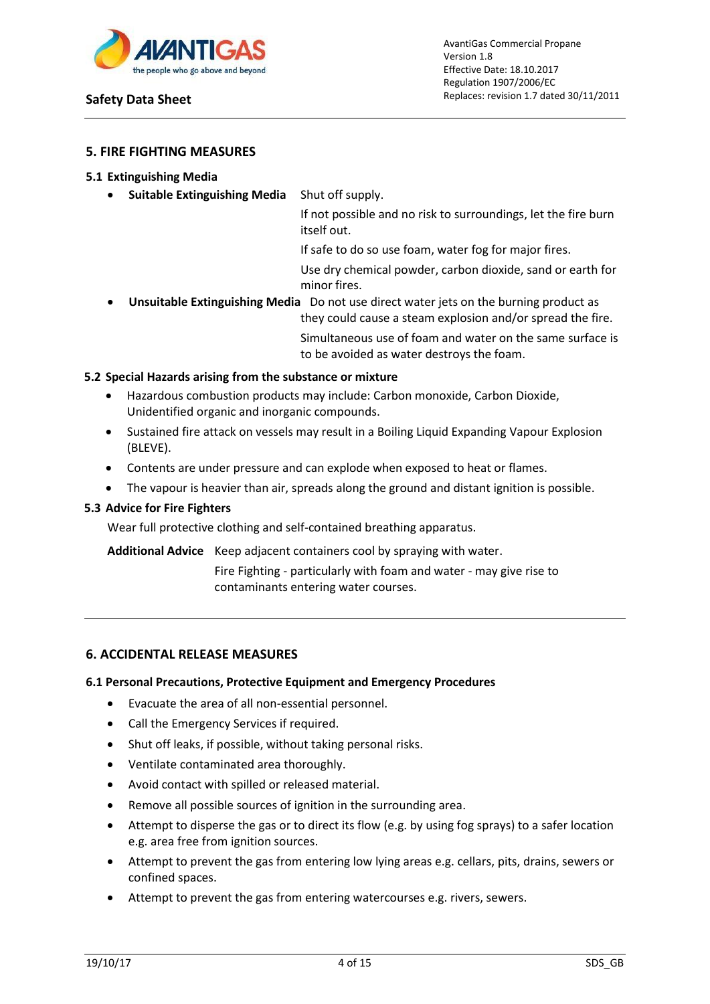

## **5. FIRE FIGHTING MEASURES**

#### **5.1 Extinguishing Media**

**Suitable Extinguishing Media** Shut off supply.

If not possible and no risk to surroundings, let the fire burn itself out.

If safe to do so use foam, water fog for major fires.

Use dry chemical powder, carbon dioxide, sand or earth for minor fires.

 **Unsuitable Extinguishing Media** Do not use direct water jets on the burning product as they could cause a steam explosion and/or spread the fire. Simultaneous use of foam and water on the same surface is to be avoided as water destroys the foam.

## **5.2 Special Hazards arising from the substance or mixture**

- Hazardous combustion products may include: Carbon monoxide, Carbon Dioxide, Unidentified organic and inorganic compounds.
- Sustained fire attack on vessels may result in a Boiling Liquid Expanding Vapour Explosion (BLEVE).
- Contents are under pressure and can explode when exposed to heat or flames.
- The vapour is heavier than air, spreads along the ground and distant ignition is possible.

## **5.3 Advice for Fire Fighters**

Wear full protective clothing and self-contained breathing apparatus.

**Additional Advice** Keep adjacent containers cool by spraying with water.

Fire Fighting - particularly with foam and water - may give rise to contaminants entering water courses.

#### **6. ACCIDENTAL RELEASE MEASURES**

#### **6.1 Personal Precautions, Protective Equipment and Emergency Procedures**

- Evacuate the area of all non-essential personnel.
- Call the Emergency Services if required.
- Shut off leaks, if possible, without taking personal risks.
- Ventilate contaminated area thoroughly.
- Avoid contact with spilled or released material.
- Remove all possible sources of ignition in the surrounding area.
- Attempt to disperse the gas or to direct its flow (e.g. by using fog sprays) to a safer location e.g. area free from ignition sources.
- Attempt to prevent the gas from entering low lying areas e.g. cellars, pits, drains, sewers or confined spaces.
- Attempt to prevent the gas from entering watercourses e.g. rivers, sewers.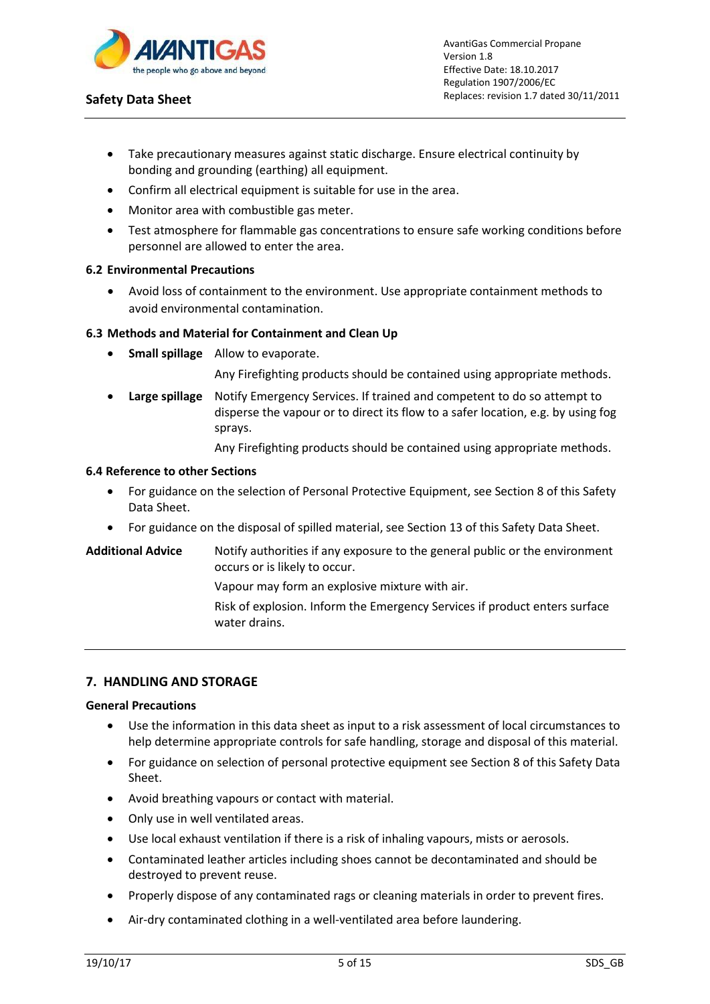

- Take precautionary measures against static discharge. Ensure electrical continuity by bonding and grounding (earthing) all equipment.
- Confirm all electrical equipment is suitable for use in the area.
- Monitor area with combustible gas meter.
- Test atmosphere for flammable gas concentrations to ensure safe working conditions before personnel are allowed to enter the area.

#### **6.2 Environmental Precautions**

 Avoid loss of containment to the environment. Use appropriate containment methods to avoid environmental contamination.

## **6.3 Methods and Material for Containment and Clean Up**

**Small spillage** Allow to evaporate.

Any Firefighting products should be contained using appropriate methods.

 **Large spillage** Notify Emergency Services. If trained and competent to do so attempt to disperse the vapour or to direct its flow to a safer location, e.g. by using fog sprays.

Any Firefighting products should be contained using appropriate methods.

#### **6.4 Reference to other Sections**

- For guidance on the selection of Personal Protective Equipment, see Section 8 of this Safety Data Sheet.
- For guidance on the disposal of spilled material, see Section 13 of this Safety Data Sheet.
- **Additional Advice** Notify authorities if any exposure to the general public or the environment occurs or is likely to occur.

Vapour may form an explosive mixture with air.

Risk of explosion. Inform the Emergency Services if product enters surface water drains.

## **7. HANDLING AND STORAGE**

#### **General Precautions**

- Use the information in this data sheet as input to a risk assessment of local circumstances to help determine appropriate controls for safe handling, storage and disposal of this material.
- For guidance on selection of personal protective equipment see Section 8 of this Safety Data Sheet.
- Avoid breathing vapours or contact with material.
- Only use in well ventilated areas.
- Use local exhaust ventilation if there is a risk of inhaling vapours, mists or aerosols.
- Contaminated leather articles including shoes cannot be decontaminated and should be destroyed to prevent reuse.
- Properly dispose of any contaminated rags or cleaning materials in order to prevent fires.
- Air-dry contaminated clothing in a well-ventilated area before laundering.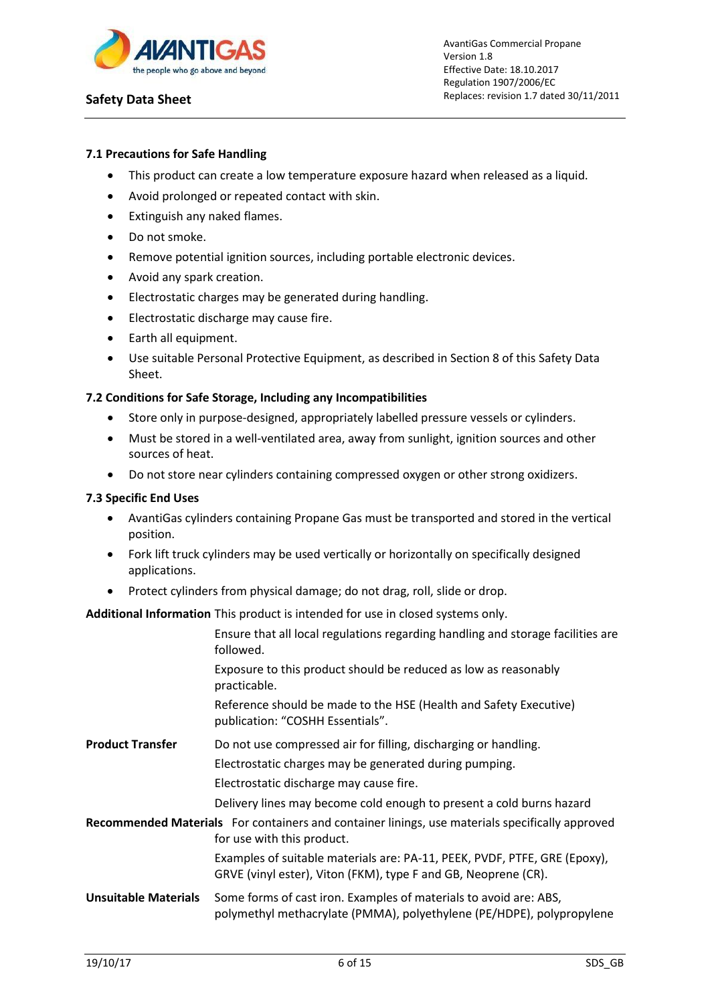

## **7.1 Precautions for Safe Handling**

- This product can create a low temperature exposure hazard when released as a liquid.
- Avoid prolonged or repeated contact with skin.
- Extinguish any naked flames.
- Do not smoke.
- Remove potential ignition sources, including portable electronic devices.
- Avoid any spark creation.
- Electrostatic charges may be generated during handling.
- Electrostatic discharge may cause fire.
- Earth all equipment.
- Use suitable Personal Protective Equipment, as described in Section 8 of this Safety Data Sheet.

## **7.2 Conditions for Safe Storage, Including any Incompatibilities**

- Store only in purpose-designed, appropriately labelled pressure vessels or cylinders.
- Must be stored in a well-ventilated area, away from sunlight, ignition sources and other sources of heat.
- Do not store near cylinders containing compressed oxygen or other strong oxidizers.

## **7.3 Specific End Uses**

- AvantiGas cylinders containing Propane Gas must be transported and stored in the vertical position.
- Fork lift truck cylinders may be used vertically or horizontally on specifically designed applications.
- Protect cylinders from physical damage; do not drag, roll, slide or drop.

**Additional Information** This product is intended for use in closed systems only.

|                             | Ensure that all local regulations regarding handling and storage facilities are<br>followed.                                                |
|-----------------------------|---------------------------------------------------------------------------------------------------------------------------------------------|
|                             | Exposure to this product should be reduced as low as reasonably<br>practicable.                                                             |
|                             | Reference should be made to the HSE (Health and Safety Executive)<br>publication: "COSHH Essentials".                                       |
| <b>Product Transfer</b>     | Do not use compressed air for filling, discharging or handling.                                                                             |
|                             | Electrostatic charges may be generated during pumping.                                                                                      |
|                             | Electrostatic discharge may cause fire.                                                                                                     |
|                             | Delivery lines may become cold enough to present a cold burns hazard                                                                        |
|                             | Recommended Materials For containers and container linings, use materials specifically approved<br>for use with this product.               |
|                             | Examples of suitable materials are: PA-11, PEEK, PVDF, PTFE, GRE (Epoxy),<br>GRVE (vinyl ester), Viton (FKM), type F and GB, Neoprene (CR). |
| <b>Unsuitable Materials</b> | Some forms of cast iron. Examples of materials to avoid are: ABS,<br>polymethyl methacrylate (PMMA), polyethylene (PE/HDPE), polypropylene  |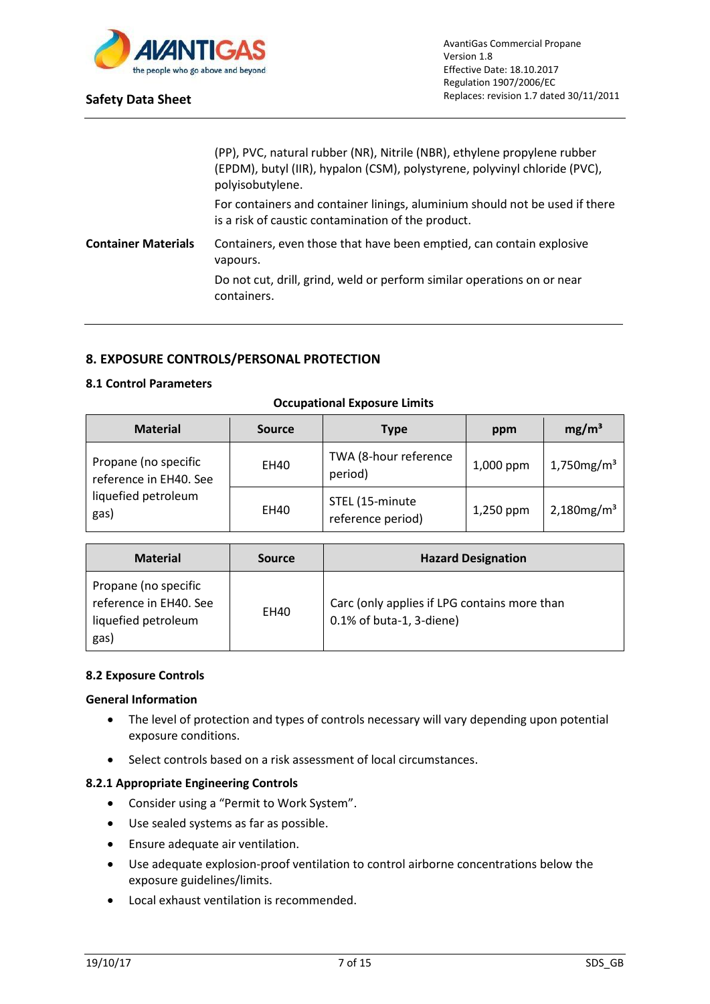

|                            | (PP), PVC, natural rubber (NR), Nitrile (NBR), ethylene propylene rubber<br>(EPDM), butyl (IIR), hypalon (CSM), polystyrene, polyvinyl chloride (PVC),<br>polyisobutylene. |
|----------------------------|----------------------------------------------------------------------------------------------------------------------------------------------------------------------------|
|                            | For containers and container linings, aluminium should not be used if there<br>is a risk of caustic contamination of the product.                                          |
| <b>Container Materials</b> | Containers, even those that have been emptied, can contain explosive<br>vapours.<br>Do not cut, drill, grind, weld or perform similar operations on or near                |
|                            | containers.                                                                                                                                                                |

# **8. EXPOSURE CONTROLS/PERSONAL PROTECTION**

## **8.1 Control Parameters**

| <b>Material</b>                                | <b>Source</b> | Type                                 | ppm       | mg/m <sup>3</sup>         |
|------------------------------------------------|---------------|--------------------------------------|-----------|---------------------------|
| Propane (no specific<br>reference in EH40. See | <b>EH40</b>   | TWA (8-hour reference<br>period)     | 1,000 ppm | $1,750$ mg/m <sup>3</sup> |
| liquefied petroleum<br>gas)                    | <b>EH40</b>   | STEL (15-minute<br>reference period) | 1,250 ppm | $2,180$ mg/m <sup>3</sup> |

#### **Occupational Exposure Limits**

| <b>Material</b>                                                               | <b>Source</b> | <b>Hazard Designation</b>                                                |
|-------------------------------------------------------------------------------|---------------|--------------------------------------------------------------------------|
| Propane (no specific<br>reference in EH40. See<br>liquefied petroleum<br>gas) | EH40          | Carc (only applies if LPG contains more than<br>0.1% of buta-1, 3-diene) |

## **8.2 Exposure Controls**

#### **General Information**

- The level of protection and types of controls necessary will vary depending upon potential exposure conditions.
- Select controls based on a risk assessment of local circumstances.

## **8.2.1 Appropriate Engineering Controls**

- Consider using a "Permit to Work System".
- Use sealed systems as far as possible.
- Ensure adequate air ventilation.
- Use adequate explosion-proof ventilation to control airborne concentrations below the exposure guidelines/limits.
- Local exhaust ventilation is recommended.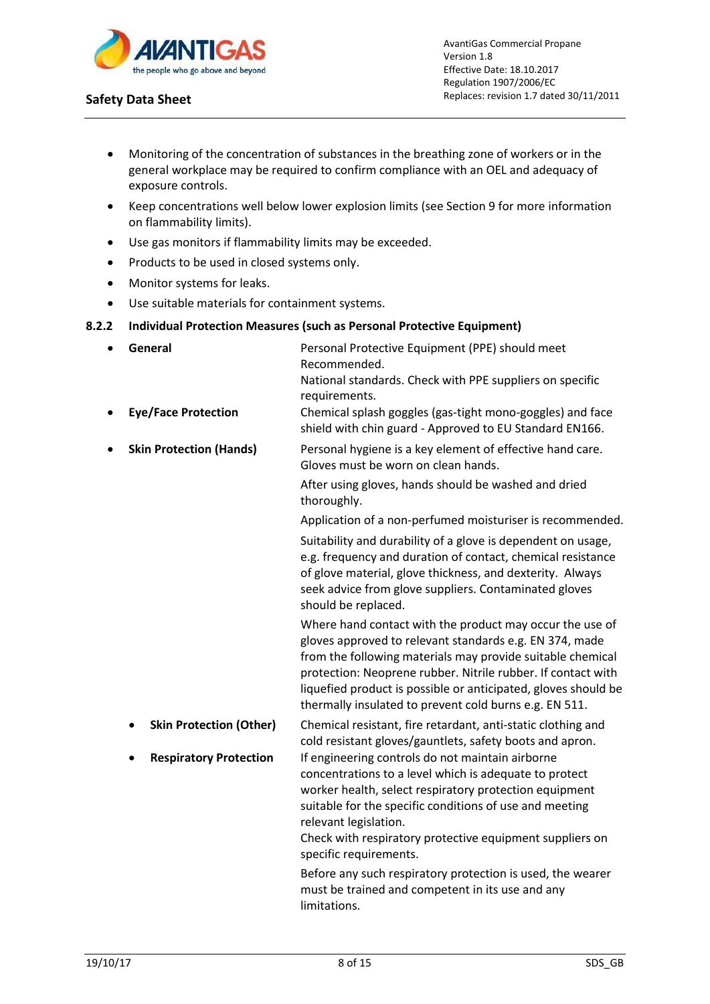

- Monitoring of the concentration of substances in the breathing zone of workers or in the general workplace may be required to confirm compliance with an OEL and adequacy of exposure controls.
- Keep concentrations well below lower explosion limits (see Section 9 for more information on flammability limits).
- Use gas monitors if flammability limits may be exceeded.
- Products to be used in closed systems only.
- Monitor systems for leaks.
- Use suitable materials for containment systems.

## **8.2.2 Individual Protection Measures (such as Personal Protective Equipment)**

 **General** Personal Protective Equipment (PPE) should meet Recommended. National standards. Check with PPE suppliers on specific requirements. **Eye/Face Protection** Chemical splash goggles (gas-tight mono-goggles) and face shield with chin guard - Approved to EU Standard EN166. **Skin Protection (Hands) Personal hygiene is a key element of effective hand care.** Gloves must be worn on clean hands. After using gloves, hands should be washed and dried thoroughly. Application of a non-perfumed moisturiser is recommended. Suitability and durability of a glove is dependent on usage, e.g. frequency and duration of contact, chemical resistance of glove material, glove thickness, and dexterity. Always seek advice from glove suppliers. Contaminated gloves should be replaced. Where hand contact with the product may occur the use of gloves approved to relevant standards e.g. EN 374, made from the following materials may provide suitable chemical protection: Neoprene rubber. Nitrile rubber. If contact with liquefied product is possible or anticipated, gloves should be thermally insulated to prevent cold burns e.g. EN 511. **Skin Protection (Other)** Chemical resistant, fire retardant, anti-static clothing and cold resistant gloves/gauntlets, safety boots and apron. **Respiratory Protection** If engineering controls do not maintain airborne concentrations to a level which is adequate to protect worker health, select respiratory protection equipment suitable for the specific conditions of use and meeting relevant legislation. Check with respiratory protective equipment suppliers on specific requirements. Before any such respiratory protection is used, the wearer must be trained and competent in its use and any limitations.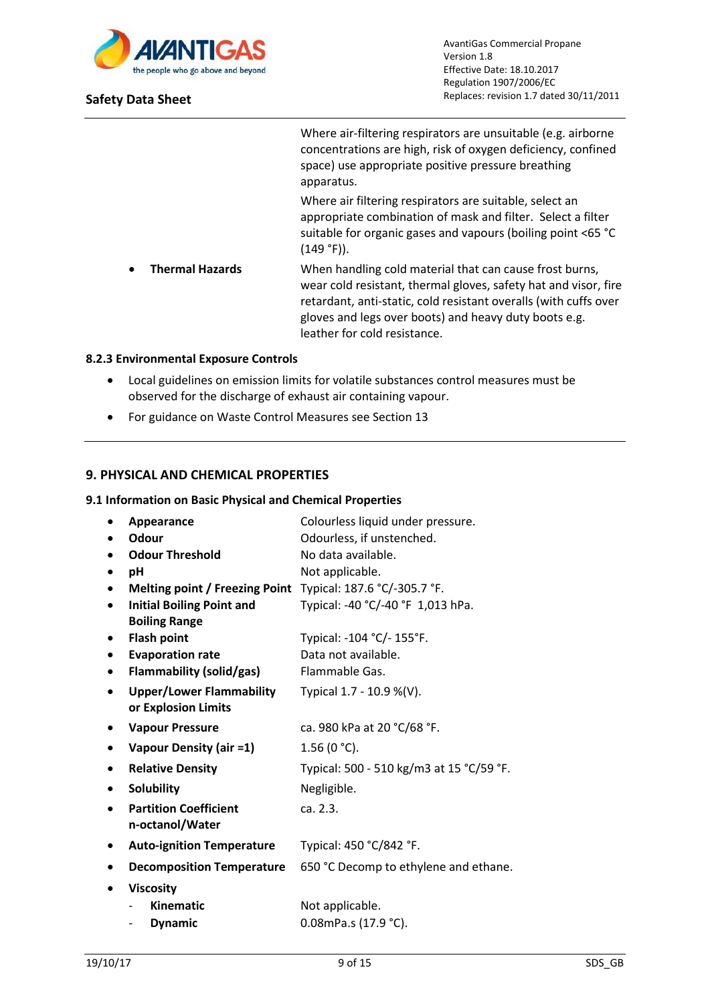

Where air-filtering respirators are unsuitable (e.g. airborne concentrations are high, risk of oxygen deficiency, confined space) use appropriate positive pressure breathing apparatus.

Where air filtering respirators are suitable, select an appropriate combination of mask and filter. Select a filter suitable for organic gases and vapours (boiling point <65 °C (149 °F)).

 **Thermal Hazards** When handling cold material that can cause frost burns, wear cold resistant, thermal gloves, safety hat and visor, fire retardant, anti-static, cold resistant overalls (with cuffs over gloves and legs over boots) and heavy duty boots e.g. leather for cold resistance.

## **8.2.3 Environmental Exposure Controls**

- Local guidelines on emission limits for volatile substances control measures must be observed for the discharge of exhaust air containing vapour.
- For guidance on Waste Control Measures see Section 13

## **9. PHYSICAL AND CHEMICAL PROPERTIES**

## **9.1 Information on Basic Physical and Chemical Properties**

|           | Appearance                            | Colourless liquid under pressure.        |
|-----------|---------------------------------------|------------------------------------------|
|           | Odour                                 | Odourless, if unstenched.                |
|           | <b>Odour Threshold</b>                | No data available.                       |
| ٠         | рH                                    | Not applicable.                          |
| ٠         | <b>Melting point / Freezing Point</b> | Typical: 187.6 °C/-305.7 °F.             |
| ٠         | <b>Initial Boiling Point and</b>      | Typical: -40 °C/-40 °F 1,013 hPa.        |
|           | <b>Boiling Range</b>                  |                                          |
| $\bullet$ | <b>Flash point</b>                    | Typical: -104 °C/- 155°F.                |
| $\bullet$ | <b>Evaporation rate</b>               | Data not available.                      |
| $\bullet$ | <b>Flammability (solid/gas)</b>       | Flammable Gas.                           |
|           | <b>Upper/Lower Flammability</b>       | Typical 1.7 - 10.9 %(V).                 |
|           | or Explosion Limits                   |                                          |
| $\bullet$ | <b>Vapour Pressure</b>                | ca. 980 kPa at 20 °C/68 °F.              |
| ٠         | Vapour Density (air =1)               | $1.56(0 °C)$ .                           |
| ٠         | <b>Relative Density</b>               | Typical: 500 - 510 kg/m3 at 15 °C/59 °F. |
| ٠         | Solubility                            | Negligible.                              |
|           | <b>Partition Coefficient</b>          | ca. 2.3.                                 |
|           | n-octanol/Water                       |                                          |
|           | <b>Auto-ignition Temperature</b>      | Typical: 450 °C/842 °F.                  |
|           | <b>Decomposition Temperature</b>      | 650 °C Decomp to ethylene and ethane.    |
|           | <b>Viscosity</b>                      |                                          |
|           | <b>Kinematic</b>                      | Not applicable.                          |
|           | <b>Dynamic</b>                        | 0.08mPa.s (17.9 °C).                     |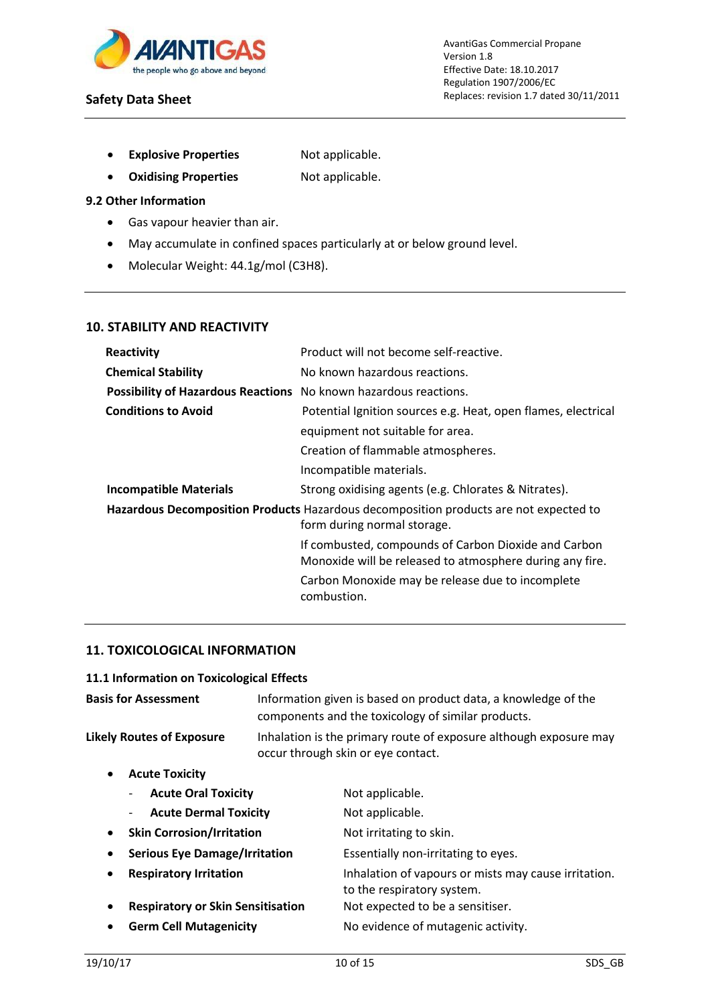

- **Explosive Properties** Not applicable.
- **Oxidising Properties** Not applicable.

## **9.2 Other Information**

- Gas vapour heavier than air.
- May accumulate in confined spaces particularly at or below ground level.
- Molecular Weight: 44.1g/mol (C3H8).

## **10. STABILITY AND REACTIVITY**

| Reactivity                                                       | Product will not become self-reactive.                                                                               |
|------------------------------------------------------------------|----------------------------------------------------------------------------------------------------------------------|
| <b>Chemical Stability</b>                                        | No known hazardous reactions.                                                                                        |
| Possibility of Hazardous Reactions No known hazardous reactions. |                                                                                                                      |
| <b>Conditions to Avoid</b>                                       | Potential Ignition sources e.g. Heat, open flames, electrical                                                        |
|                                                                  | equipment not suitable for area.                                                                                     |
|                                                                  | Creation of flammable atmospheres.                                                                                   |
|                                                                  | Incompatible materials.                                                                                              |
| <b>Incompatible Materials</b>                                    | Strong oxidising agents (e.g. Chlorates & Nitrates).                                                                 |
|                                                                  | Hazardous Decomposition Products Hazardous decomposition products are not expected to<br>form during normal storage. |
|                                                                  | If combusted, compounds of Carbon Dioxide and Carbon<br>Monoxide will be released to atmosphere during any fire.     |
|                                                                  | Carbon Monoxide may be release due to incomplete<br>combustion.                                                      |
|                                                                  |                                                                                                                      |

## **11. TOXICOLOGICAL INFORMATION**

# **11.1 Information on Toxicological Effects**

| <b>Basis for Assessment</b>                       | Information given is based on product data, a knowledge of the<br>components and the toxicology of similar products. |                                                                                    |  |  |
|---------------------------------------------------|----------------------------------------------------------------------------------------------------------------------|------------------------------------------------------------------------------------|--|--|
| <b>Likely Routes of Exposure</b>                  | Inhalation is the primary route of exposure although exposure may<br>occur through skin or eye contact.              |                                                                                    |  |  |
| <b>Acute Toxicity</b><br>$\bullet$                |                                                                                                                      |                                                                                    |  |  |
| <b>Acute Oral Toxicity</b><br>-                   |                                                                                                                      | Not applicable.                                                                    |  |  |
| <b>Acute Dermal Toxicity</b><br>-                 |                                                                                                                      | Not applicable.                                                                    |  |  |
| <b>Skin Corrosion/Irritation</b><br>$\bullet$     |                                                                                                                      | Not irritating to skin.                                                            |  |  |
| <b>Serious Eye Damage/Irritation</b><br>$\bullet$ |                                                                                                                      | Essentially non-irritating to eyes.                                                |  |  |
| <b>Respiratory Irritation</b><br>٠                |                                                                                                                      | Inhalation of vapours or mists may cause irritation.<br>to the respiratory system. |  |  |
| <b>Respiratory or Skin Sensitisation</b><br>٠     |                                                                                                                      | Not expected to be a sensitiser.                                                   |  |  |
| <b>Germ Cell Mutagenicity</b><br>٠                |                                                                                                                      | No evidence of mutagenic activity.                                                 |  |  |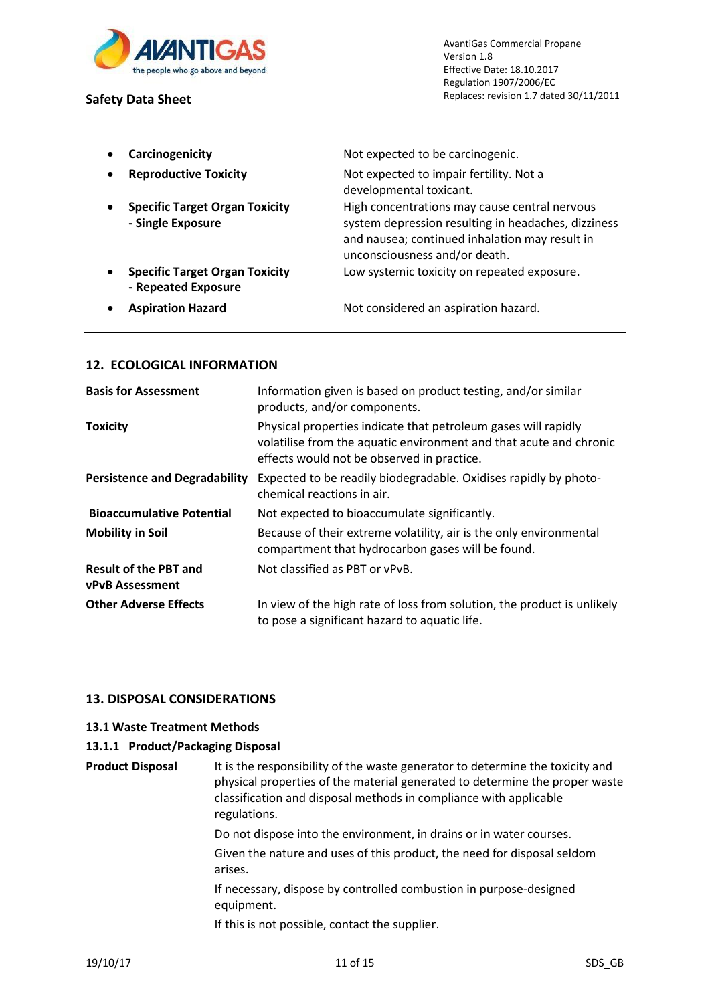

- 
- 
- 
- **- Repeated Exposure**
- 

**Carcinogenicity Carcinogenicity Not expected to be carcinogenic.** 

**Reproductive Toxicity** Not expected to impair fertility. Not a developmental toxicant. **•** Specific Target Organ Toxicity **High concentrations may cause central nervous - Single Exposure** system depression resulting in headaches, dizziness and nausea; continued inhalation may result in unconsciousness and/or death. **Specific Target Organ Toxicity** Low systemic toxicity on repeated exposure.

**Aspiration Hazard Not considered an aspiration hazard.** Not considered an aspiration hazard.

# **12. ECOLOGICAL INFORMATION**

| <b>Basis for Assessment</b>                            | Information given is based on product testing, and/or similar<br>products, and/or components.                                                                                      |
|--------------------------------------------------------|------------------------------------------------------------------------------------------------------------------------------------------------------------------------------------|
| <b>Toxicity</b>                                        | Physical properties indicate that petroleum gases will rapidly<br>volatilise from the aquatic environment and that acute and chronic<br>effects would not be observed in practice. |
| <b>Persistence and Degradability</b>                   | Expected to be readily biodegradable. Oxidises rapidly by photo-<br>chemical reactions in air.                                                                                     |
| <b>Bioaccumulative Potential</b>                       | Not expected to bioaccumulate significantly.                                                                                                                                       |
| <b>Mobility in Soil</b>                                | Because of their extreme volatility, air is the only environmental<br>compartment that hydrocarbon gases will be found.                                                            |
| <b>Result of the PBT and</b><br><b>vPvB Assessment</b> | Not classified as PBT or vPvB.                                                                                                                                                     |
| <b>Other Adverse Effects</b>                           | In view of the high rate of loss from solution, the product is unlikely<br>to pose a significant hazard to aquatic life.                                                           |

# **13. DISPOSAL CONSIDERATIONS**

## **13.1 Waste Treatment Methods**

## **13.1.1 Product/Packaging Disposal**

**Product Disposal It is the responsibility of the waste generator to determine the toxicity and** physical properties of the material generated to determine the proper waste classification and disposal methods in compliance with applicable regulations.

> Do not dispose into the environment, in drains or in water courses. Given the nature and uses of this product, the need for disposal seldom arises.

If necessary, dispose by controlled combustion in purpose-designed equipment.

If this is not possible, contact the supplier.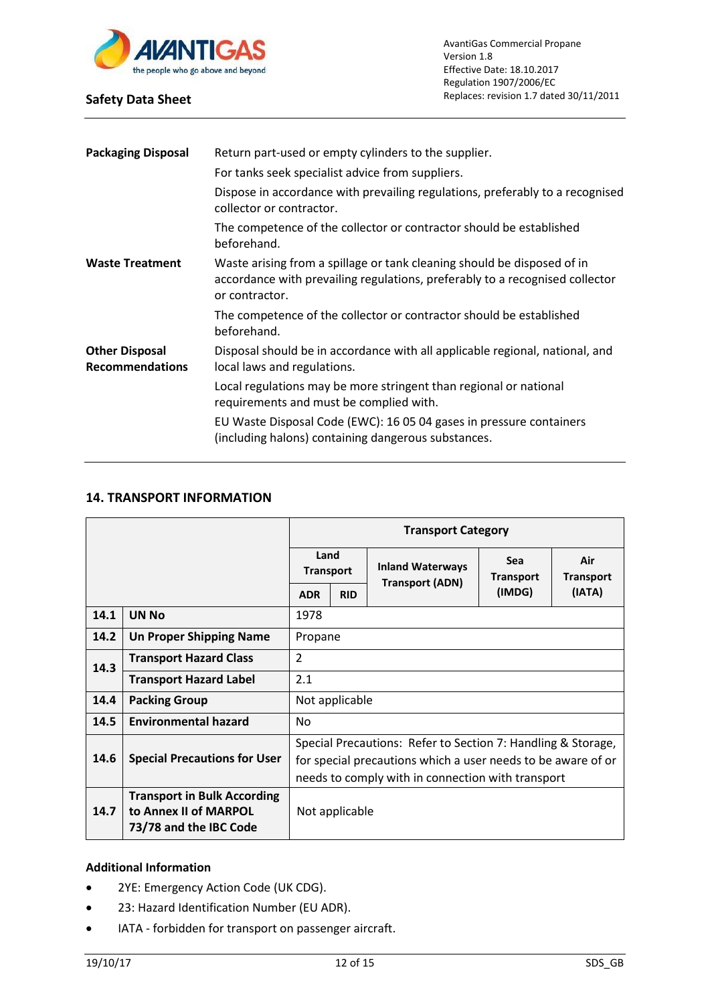

| <b>Packaging Disposal</b>                       | Return part-used or empty cylinders to the supplier.                                                                                                                      |
|-------------------------------------------------|---------------------------------------------------------------------------------------------------------------------------------------------------------------------------|
|                                                 | For tanks seek specialist advice from suppliers.                                                                                                                          |
|                                                 | Dispose in accordance with prevailing regulations, preferably to a recognised<br>collector or contractor.                                                                 |
|                                                 | The competence of the collector or contractor should be established<br>beforehand.                                                                                        |
| <b>Waste Treatment</b>                          | Waste arising from a spillage or tank cleaning should be disposed of in<br>accordance with prevailing regulations, preferably to a recognised collector<br>or contractor. |
|                                                 | The competence of the collector or contractor should be established<br>beforehand.                                                                                        |
| <b>Other Disposal</b><br><b>Recommendations</b> | Disposal should be in accordance with all applicable regional, national, and<br>local laws and regulations.                                                               |
|                                                 | Local regulations may be more stringent than regional or national<br>requirements and must be complied with.                                                              |
|                                                 | EU Waste Disposal Code (EWC): 16 05 04 gases in pressure containers<br>(including halons) containing dangerous substances.                                                |
|                                                 |                                                                                                                                                                           |

# **14. TRANSPORT INFORMATION**

|      |                                                                                       | <b>Transport Category</b>                                                                                                                                                         |                |                                                   |                                |                         |
|------|---------------------------------------------------------------------------------------|-----------------------------------------------------------------------------------------------------------------------------------------------------------------------------------|----------------|---------------------------------------------------|--------------------------------|-------------------------|
|      |                                                                                       | Land<br><b>Transport</b>                                                                                                                                                          |                | <b>Inland Waterways</b><br><b>Transport (ADN)</b> | <b>Sea</b><br><b>Transport</b> | Air<br><b>Transport</b> |
|      |                                                                                       | <b>ADR</b>                                                                                                                                                                        | <b>RID</b>     |                                                   | (IMDG)                         | (IATA)                  |
| 14.1 | <b>UN No</b>                                                                          | 1978                                                                                                                                                                              |                |                                                   |                                |                         |
| 14.2 | <b>Un Proper Shipping Name</b>                                                        | Propane                                                                                                                                                                           |                |                                                   |                                |                         |
| 14.3 | <b>Transport Hazard Class</b>                                                         | $\overline{2}$                                                                                                                                                                    |                |                                                   |                                |                         |
|      | <b>Transport Hazard Label</b>                                                         | 2.1                                                                                                                                                                               |                |                                                   |                                |                         |
| 14.4 | <b>Packing Group</b>                                                                  | Not applicable                                                                                                                                                                    |                |                                                   |                                |                         |
| 14.5 | <b>Environmental hazard</b>                                                           | No                                                                                                                                                                                |                |                                                   |                                |                         |
| 14.6 | <b>Special Precautions for User</b>                                                   | Special Precautions: Refer to Section 7: Handling & Storage,<br>for special precautions which a user needs to be aware of or<br>needs to comply with in connection with transport |                |                                                   |                                |                         |
| 14.7 | <b>Transport in Bulk According</b><br>to Annex II of MARPOL<br>73/78 and the IBC Code |                                                                                                                                                                                   | Not applicable |                                                   |                                |                         |

# **Additional Information**

- 2YE: Emergency Action Code (UK CDG).
- 23: Hazard Identification Number (EU ADR).
- IATA forbidden for transport on passenger aircraft.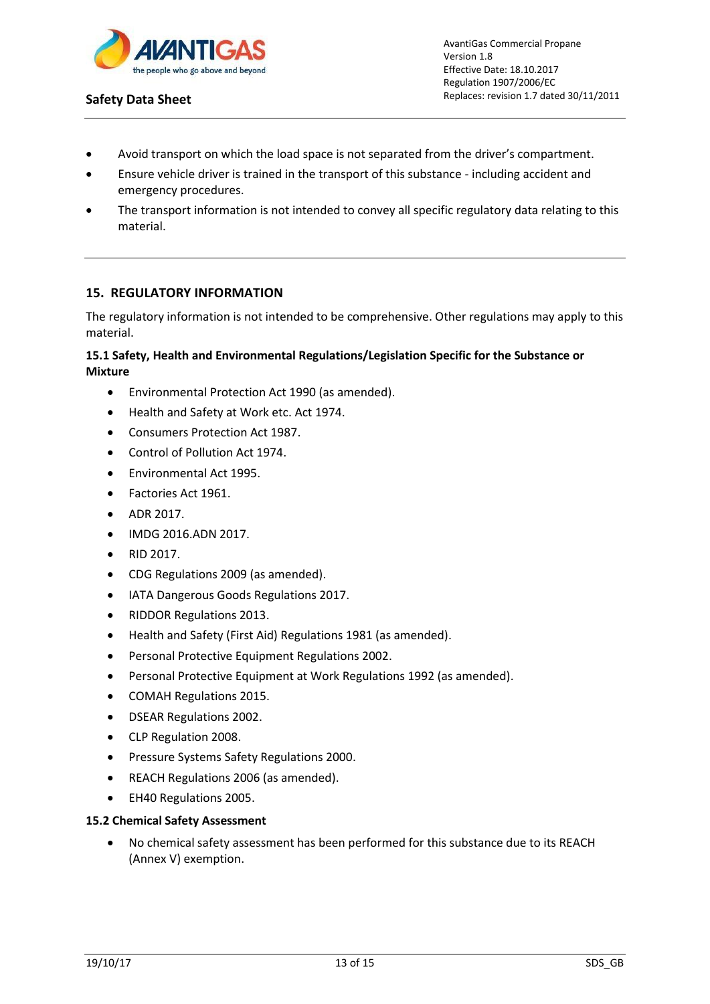

- Avoid transport on which the load space is not separated from the driver's compartment.
- Ensure vehicle driver is trained in the transport of this substance including accident and emergency procedures.
- The transport information is not intended to convey all specific regulatory data relating to this material.

# **15. REGULATORY INFORMATION**

The regulatory information is not intended to be comprehensive. Other regulations may apply to this material.

## **15.1 Safety, Health and Environmental Regulations/Legislation Specific for the Substance or Mixture**

- Environmental Protection Act 1990 (as amended).
- Health and Safety at Work etc. Act 1974.
- Consumers Protection Act 1987.
- Control of Pollution Act 1974.
- Environmental Act 1995.
- Factories Act 1961.
- ADR 2017.
- IMDG 2016.ADN 2017.
- RID 2017.
- CDG Regulations 2009 (as amended).
- IATA Dangerous Goods Regulations 2017.
- RIDDOR Regulations 2013.
- Health and Safety (First Aid) Regulations 1981 (as amended).
- Personal Protective Equipment Regulations 2002.
- Personal Protective Equipment at Work Regulations 1992 (as amended).
- COMAH Regulations 2015.
- DSEAR Regulations 2002.
- CLP Regulation 2008.
- **•** Pressure Systems Safety Regulations 2000.
- REACH Regulations 2006 (as amended).
- EH40 Regulations 2005.

#### **15.2 Chemical Safety Assessment**

 No chemical safety assessment has been performed for this substance due to its REACH (Annex V) exemption.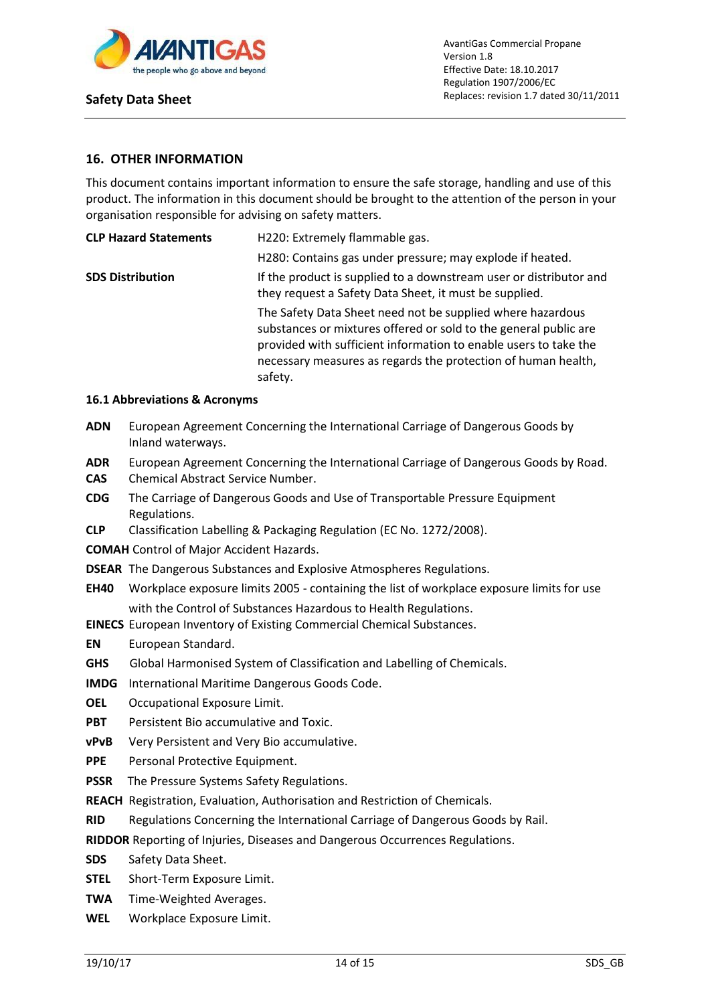

## **16. OTHER INFORMATION**

This document contains important information to ensure the safe storage, handling and use of this product. The information in this document should be brought to the attention of the person in your organisation responsible for advising on safety matters.

| <b>CLP Hazard Statements</b> | H220: Extremely flammable gas.                                                                                                                                                                                                                                                 |  |
|------------------------------|--------------------------------------------------------------------------------------------------------------------------------------------------------------------------------------------------------------------------------------------------------------------------------|--|
|                              | H280: Contains gas under pressure; may explode if heated.                                                                                                                                                                                                                      |  |
| <b>SDS Distribution</b>      | If the product is supplied to a downstream user or distributor and<br>they request a Safety Data Sheet, it must be supplied.                                                                                                                                                   |  |
|                              | The Safety Data Sheet need not be supplied where hazardous<br>substances or mixtures offered or sold to the general public are<br>provided with sufficient information to enable users to take the<br>necessary measures as regards the protection of human health,<br>safety. |  |

#### **16.1 Abbreviations & Acronyms**

- **ADN** European Agreement Concerning the International Carriage of Dangerous Goods by Inland waterways.
- **ADR** European Agreement Concerning the International Carriage of Dangerous Goods by Road. **CAS** Chemical Abstract Service Number.
- **CDG** The Carriage of Dangerous Goods and Use of Transportable Pressure Equipment Regulations.
- **CLP** Classification Labelling & Packaging Regulation (EC No. 1272/2008).
- **COMAH** Control of Major Accident Hazards.
- **DSEAR** The Dangerous Substances and Explosive Atmospheres Regulations.
- **EH40** Workplace exposure limits 2005 containing the list of workplace exposure limits for use with the Control of Substances Hazardous to Health Regulations.
- **EINECS** European Inventory of Existing Commercial Chemical Substances.
- **EN** European Standard.
- **GHS** Global Harmonised System of Classification and Labelling of Chemicals.
- **IMDG** International Maritime Dangerous Goods Code.
- **OEL** Occupational Exposure Limit.
- **PBT** Persistent Bio accumulative and Toxic.
- **vPvB** Very Persistent and Very Bio accumulative.
- **PPE** Personal Protective Equipment.
- **PSSR** The Pressure Systems Safety Regulations.
- **REACH** Registration, Evaluation, Authorisation and Restriction of Chemicals.
- **RID** Regulations Concerning the International Carriage of Dangerous Goods by Rail.

**RIDDOR** Reporting of Injuries, Diseases and Dangerous Occurrences Regulations.

- **SDS** Safety Data Sheet.
- **STEL** Short-Term Exposure Limit.
- **TWA** Time-Weighted Averages.
- **WEL** Workplace Exposure Limit.